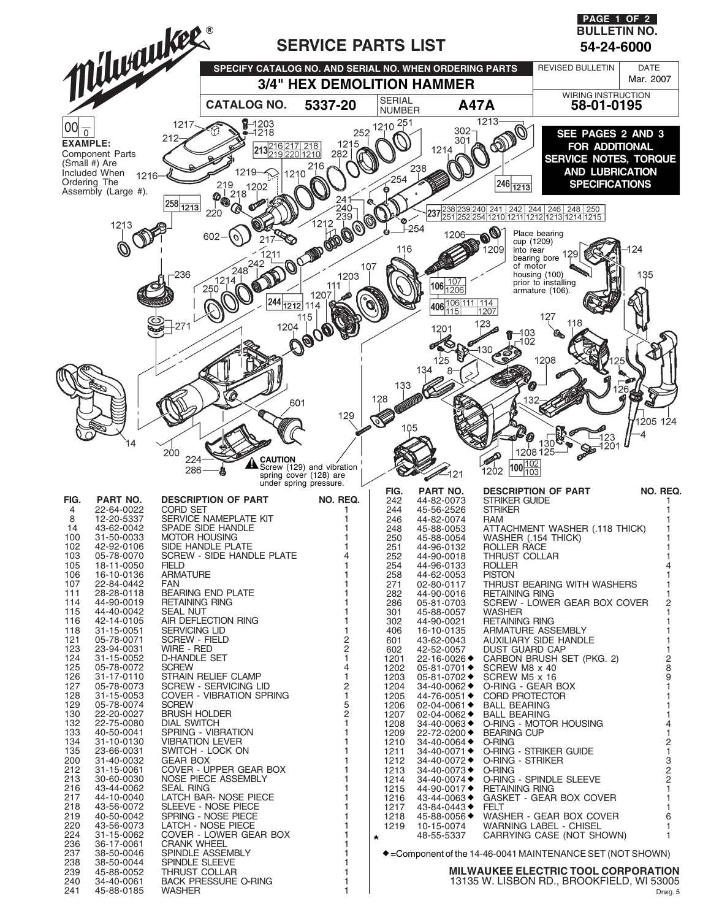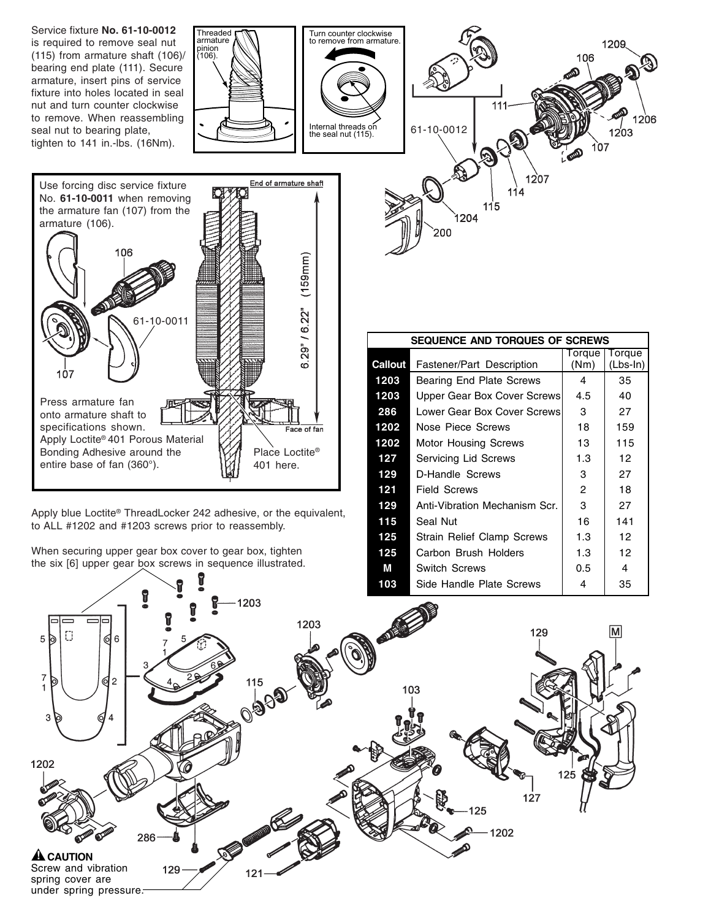



Apply blue Loctite® ThreadLocker 242 adhesive, or the equivalent, to ALL #1202 and #1203 screws prior to reassembly.

When securing upper gear box cover to gear box, tighten the six [6] upper gear box screws in sequence illustrated.

| SEQUENCE AND TORQUES OF SCREWS |                                  |                |                    |
|--------------------------------|----------------------------------|----------------|--------------------|
| Callout                        | <b>Fastener/Part Description</b> | Torque<br>(Nm) | Torque<br>(Lbs-In) |
| 1203                           | Bearing End Plate Screws         | 4              | 35                 |
| 1203                           | Upper Gear Box Cover Screws      | 4.5            | 40                 |
| 286                            | Lower Gear Box Cover Screws      | 3              | 27                 |
| 1202                           | Nose Piece Screws                | 18             | 159                |
| 1202                           | <b>Motor Housing Screws</b>      | 13             | 115                |
| 127                            | Servicing Lid Screws             | 1.3            | 12                 |
| 129                            | D-Handle Screws                  | 3              | 27                 |
| 121                            | Field Screws                     | 2              | 18                 |
| 129                            | Anti-Vibration Mechanism Scr.    | 3              | 27                 |
| 115                            | Seal Nut                         | 16             | 141                |
| 125                            | Strain Relief Clamp Screws       | 1.3            | 12                 |
| 125                            | Carbon Brush Holders             | 1.3            | 12                 |
| M                              | Switch Screws                    | 0.5            | 4                  |
| 103                            | Side Handle Plate Screws         | 4              | 35                 |